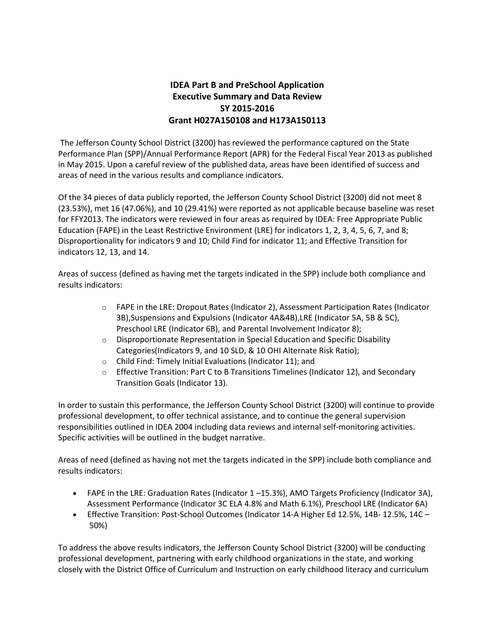## **IDEA Part B and PreSchool Application Executive Summary and Data Review SY 2015-2016 Grant H027A150108 and H173A150113**

The Jefferson County School District (3200) has reviewed the performance captured on the State Performance Plan (SPP)/Annual Performance Report (APR) for the Federal Fiscal Year 2013 as published in May 2015. Upon a careful review of the published data, areas have been identified of success and areas of need in the various results and compliance indicators.

Of the 34 pieces of data publicly reported, the Jefferson County School District (3200) did not meet 8 (23.53%), met 16 (47.06%), and 10 (29.41%) were reported as not applicable because baseline was reset for FFY2013. The indicators were reviewed in four areas as required by IDEA: Free Appropriate Public Education (FAPE) in the Least Restrictive Environment (LRE) for indicators 1, 2, 3, 4, 5, 6, 7, and 8; Disproportionality for indicators 9 and 10; Child Find for indicator 11; and Effective Transition for indicators 12, 13, and 14.

Areas of success (defined as having met the targets indicated in the SPP) include both compliance and results indicators:

- o FAPE in the LRE: Dropout Rates (Indicator 2), Assessment Participation Rates (Indicator 3B),Suspensions and Expulsions (Indicator 4A&4B),LRE (Indicator 5A, 5B & 5C), Preschool LRE (Indicator 6B), and Parental Involvement Indicator 8);
- o Disproportionate Representation in Special Education and Specific Disability Categories(Indicators 9, and 10 SLD, & 10 OHI Alternate Risk Ratio);
- o Child Find: Timely Initial Evaluations (Indicator 11); and
- o Effective Transition: Part C to B Transitions Timelines (Indicator 12), and Secondary Transition Goals (Indicator 13).

In order to sustain this performance, the Jefferson County School District (3200) will continue to provide professional development, to offer technical assistance, and to continue the general supervision responsibilities outlined in IDEA 2004 including data reviews and internal self-monitoring activities. Specific activities will be outlined in the budget narrative.

Areas of need (defined as having not met the targets indicated in the SPP) include both compliance and results indicators:

- FAPE in the LRE: Graduation Rates (Indicator 1 –15.3%), AMO Targets Proficiency (Indicator 3A), Assessment Performance (Indicator 3C ELA 4.8% and Math 6.1%), Preschool LRE (Indicator 6A)
- Effective Transition: Post-School Outcomes (Indicator 14-A Higher Ed 12.5%, 14B- 12.5%, 14C 50%)

To address the above results indicators, the Jefferson County School District (3200) will be conducting professional development, partnering with early childhood organizations in the state, and working closely with the District Office of Curriculum and Instruction on early childhood literacy and curriculum